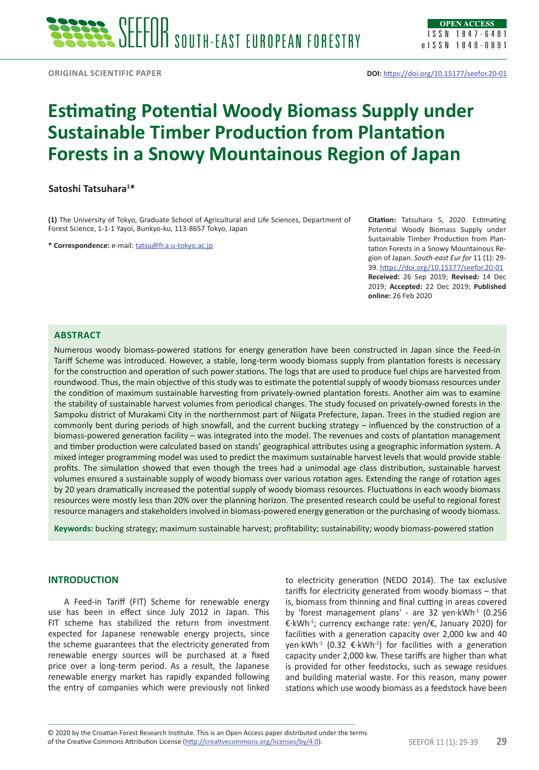# **Estimating Potential Woody Biomass Supply under Sustainable Timber Production from Plantation Forests in a Snowy Mountainous Region of Japan**

## **Satoshi Tatsuhara1 \***

**(1)** The University of Tokyo, Graduate School of Agricultural and Life Sciences, Department of Forest Science, 1-1-1 Yayoi, Bunkyo-ku, 113-8657 Tokyo, Japan

**\* Correspondence:** e-mail: [tatsu@fr.a.u-tokyo.ac.jp](mailto:tatsu@fr.a.u-tokyo.ac.jp)

**Citation:** Tatsuhara S, 2020. Estimating Potential Woody Biomass Supply under Sustainable Timber Production from Plantation Forests in a Snowy Mountainous Region of Japan. *South-east Eur for* 11 (1): 29- 39. <https://doi.org/10.15177/seefor.20-01> **Received:** 26 Sep 2019; **Revised:** 14 Dec 2019; **Accepted:** 22 Dec 2019; **Published online:** 26 Feb 2020

# **Abstract**

Numerous woody biomass-powered stations for energy generation have been constructed in Japan since the Feed-in Tariff Scheme was introduced. However, a stable, long-term woody biomass supply from plantation forests is necessary for the construction and operation of such power stations. The logs that are used to produce fuel chips are harvested from roundwood. Thus, the main objective of this study was to estimate the potential supply of woody biomass resources under the condition of maximum sustainable harvesting from privately-owned plantation forests. Another aim was to examine the stability of sustainable harvest volumes from periodical changes. The study focused on privately-owned forests in the Sampoku district of Murakami City in the northernmost part of Niigata Prefecture, Japan. Trees in the studied region are commonly bent during periods of high snowfall, and the current bucking strategy – influenced by the construction of a biomass-powered generation facility – was integrated into the model. The revenues and costs of plantation management and timber production were calculated based on stands' geographical attributes using a geographic information system. A mixed integer programming model was used to predict the maximum sustainable harvest levels that would provide stable profits. The simulation showed that even though the trees had a unimodal age class distribution, sustainable harvest volumes ensured a sustainable supply of woody biomass over various rotation ages. Extending the range of rotation ages by 20 years dramatically increased the potential supply of woody biomass resources. Fluctuations in each woody biomass resources were mostly less than 20% over the planning horizon. The presented research could be useful to regional forest resource managers and stakeholders involved in biomass-powered energy generation or the purchasing of woody biomass.

**Keywords:** bucking strategy; maximum sustainable harvest; profitability; sustainability; woody biomass-powered station

## **INTRODUCTION**

A Feed-in Tariff (FIT) Scheme for renewable energy use has been in effect since July 2012 in Japan. This FIT scheme has stabilized the return from investment expected for Japanese renewable energy projects, since the scheme guarantees that the electricity generated from renewable energy sources will be purchased at a fixed price over a long-term period. As a result, the Japanese renewable energy market has rapidly expanded following the entry of companies which were previously not linked

to electricity generation (NEDO 2014). The tax exclusive tariffs for electricity generated from woody biomass – that is, biomass from thinning and final cutting in areas covered by 'forest management plans' - are 32 yen·kWh<sup>-1</sup> (0.256 €·kWh-1; currency exchange rate: yen/€, January 2020) for facilities with a generation capacity over 2,000 kw and 40 yen·kWh<sup>-1</sup> (0.32 €·kWh<sup>-1</sup>) for facilities with a generation capacity under 2,000 kw. These tariffs are higher than what is provided for other feedstocks, such as sewage residues and building material waste. For this reason, many power stations which use woody biomass as a feedstock have been

of the Creative Commons Attribution License (<http://creativecommons.org/licenses/by/4.0>). SEEFOR 11 (1): 29-39 **29** © 2020 by the Croatian Forest Research Institute. This is an Open Access paper distributed under the terms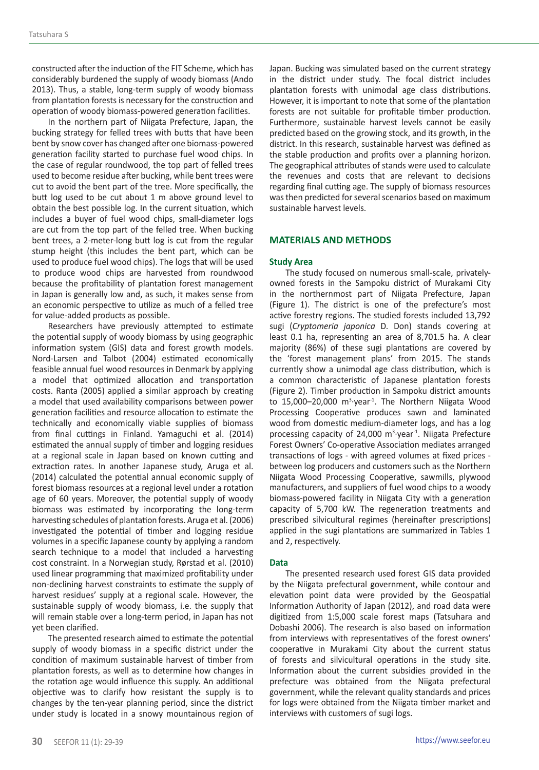constructed after the induction of the FIT Scheme, which has considerably burdened the supply of woody biomass (Ando 2013). Thus, a stable, long-term supply of woody biomass from plantation forests is necessary for the construction and operation of woody biomass-powered generation facilities.

In the northern part of Niigata Prefecture, Japan, the bucking strategy for felled trees with butts that have been bent by snow cover has changed after one biomass-powered generation facility started to purchase fuel wood chips. In the case of regular roundwood, the top part of felled trees used to become residue after bucking, while bent trees were cut to avoid the bent part of the tree. More specifically, the butt log used to be cut about 1 m above ground level to obtain the best possible log. In the current situation, which includes a buyer of fuel wood chips, small-diameter logs are cut from the top part of the felled tree. When bucking bent trees, a 2-meter-long butt log is cut from the regular stump height (this includes the bent part, which can be used to produce fuel wood chips). The logs that will be used to produce wood chips are harvested from roundwood because the profitability of plantation forest management in Japan is generally low and, as such, it makes sense from an economic perspective to utilize as much of a felled tree for value-added products as possible.

Researchers have previously attempted to estimate the potential supply of woody biomass by using geographic information system (GIS) data and forest growth models. Nord-Larsen and Talbot (2004) estimated economically feasible annual fuel wood resources in Denmark by applying a model that optimized allocation and transportation costs. Ranta (2005) applied a similar approach by creating a model that used availability comparisons between power generation facilities and resource allocation to estimate the technically and economically viable supplies of biomass from final cuttings in Finland. Yamaguchi et al. (2014) estimated the annual supply of timber and logging residues at a regional scale in Japan based on known cutting and extraction rates. In another Japanese study, Aruga et al. (2014) calculated the potential annual economic supply of forest biomass resources at a regional level under a rotation age of 60 years. Moreover, the potential supply of woody biomass was estimated by incorporating the long-term harvesting schedules of plantation forests. Aruga et al. (2006) investigated the potential of timber and logging residue volumes in a specific Japanese county by applying a random search technique to a model that included a harvesting cost constraint. In a Norwegian study, Rørstad et al. (2010) used linear programming that maximized profitability under non-declining harvest constraints to estimate the supply of harvest residues' supply at a regional scale. However, the sustainable supply of woody biomass, i.e. the supply that will remain stable over a long-term period, in Japan has not yet been clarified.

The presented research aimed to estimate the potential supply of woody biomass in a specific district under the condition of maximum sustainable harvest of timber from plantation forests, as well as to determine how changes in the rotation age would influence this supply. An additional objective was to clarify how resistant the supply is to changes by the ten-year planning period, since the district under study is located in a snowy mountainous region of Japan. Bucking was simulated based on the current strategy in the district under study. The focal district includes plantation forests with unimodal age class distributions. However, it is important to note that some of the plantation forests are not suitable for profitable timber production. Furthermore, sustainable harvest levels cannot be easily predicted based on the growing stock, and its growth, in the district. In this research, sustainable harvest was defined as the stable production and profits over a planning horizon. The geographical attributes of stands were used to calculate the revenues and costs that are relevant to decisions regarding final cutting age. The supply of biomass resources was then predicted for several scenarios based on maximum sustainable harvest levels.

# **MATERIALS AND METHODS**

## **Study Area**

The study focused on numerous small-scale, privatelyowned forests in the Sampoku district of Murakami City in the northernmost part of Niigata Prefecture, Japan (Figure 1). The district is one of the prefecture's most active forestry regions. The studied forests included 13,792 sugi (*Cryptomeria japonica* D. Don) stands covering at least 0.1 ha, representing an area of 8,701.5 ha. A clear majority (86%) of these sugi plantations are covered by the 'forest management plans' from 2015. The stands currently show a unimodal age class distribution, which is a common characteristic of Japanese plantation forests (Figure 2). Timber production in Sampoku district amounts to 15,000-20,000  $m^3$ ·year<sup>-1</sup>. The Northern Niigata Wood Processing Cooperative produces sawn and laminated wood from domestic medium-diameter logs, and has a log processing capacity of 24,000  $m^3$  year<sup>1</sup>. Niigata Prefecture Forest Owners' Co-operative Association mediates arranged transactions of logs - with agreed volumes at fixed prices between log producers and customers such as the Northern Niigata Wood Processing Cooperative, sawmills, plywood manufacturers, and suppliers of fuel wood chips to a woody biomass-powered facility in Niigata City with a generation capacity of 5,700 kW. The regeneration treatments and prescribed silvicultural regimes (hereinafter prescriptions) applied in the sugi plantations are summarized in Tables 1 and 2, respectively.

## **Data**

The presented research used forest GIS data provided by the Niigata prefectural government, while contour and elevation point data were provided by the Geospatial Information Authority of Japan (2012), and road data were digitized from 1:5,000 scale forest maps (Tatsuhara and Dobashi 2006). The research is also based on information from interviews with representatives of the forest owners' cooperative in Murakami City about the current status of forests and silvicultural operations in the study site. Information about the current subsidies provided in the prefecture was obtained from the Niigata prefectural government, while the relevant quality standards and prices for logs were obtained from the Niigata timber market and interviews with customers of sugi logs.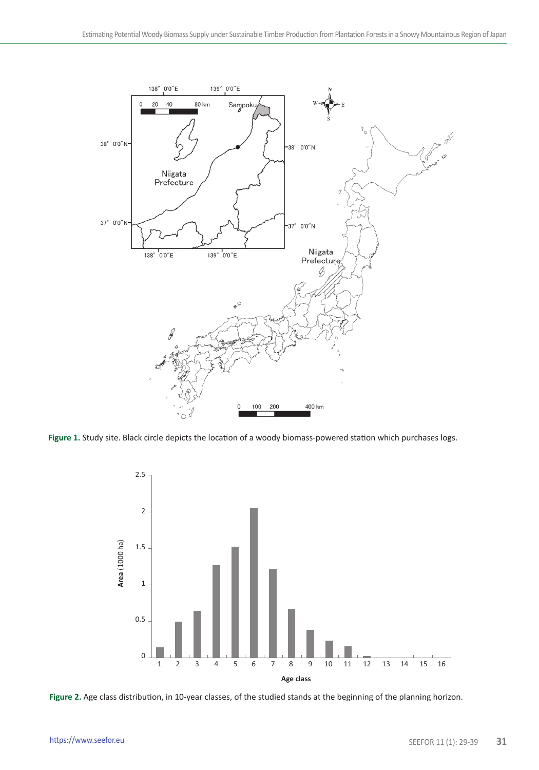

**Figure 1.** Study site. Black circle depicts the location of a woody biomass-powered station which purchases logs.



**Figure 2.** Age class distribution, in 10-year classes, of the studied stands at the beginning of the planning horizon.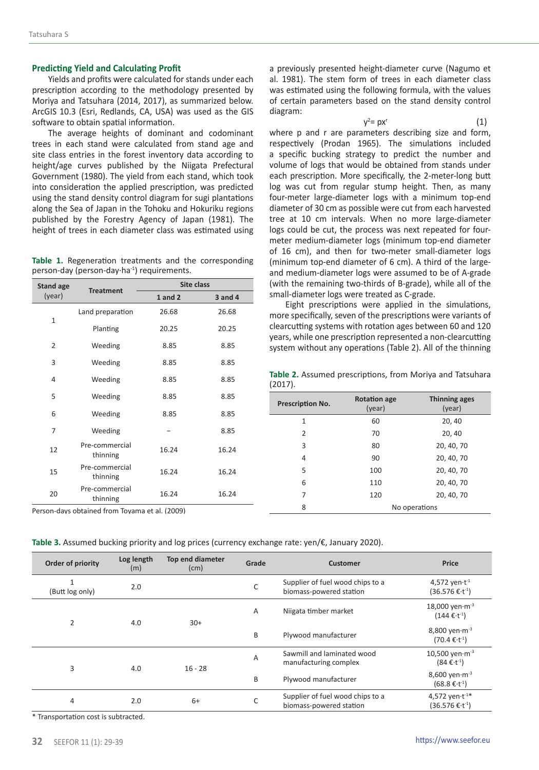### **Predicting Yield and Calculating Profit**

Yields and profits were calculated for stands under each prescription according to the methodology presented by Moriya and Tatsuhara (2014, 2017), as summarized below. ArcGIS 10.3 (Esri, Redlands, CA, USA) was used as the GIS software to obtain spatial information.

The average heights of dominant and codominant trees in each stand were calculated from stand age and site class entries in the forest inventory data according to height/age curves published by the Niigata Prefectural Government (1980). The yield from each stand, which took into consideration the applied prescription, was predicted using the stand density control diagram for sugi plantations along the Sea of Japan in the Tohoku and Hokuriku regions published by the Forestry Agency of Japan (1981). The height of trees in each diameter class was estimated using

**Table 1.** Regeneration treatments and the corresponding person-day (person-day·ha-1) requirements.

| <b>Stand age</b> | <b>Treatment</b>           | Site class  |             |  |
|------------------|----------------------------|-------------|-------------|--|
| (year)           |                            | $1$ and $2$ | $3$ and $4$ |  |
| $\mathbf{1}$     | Land preparation           | 26.68       | 26.68       |  |
|                  | Planting                   | 20.25       | 20.25       |  |
| $\overline{2}$   | Weeding                    | 8.85        | 8.85        |  |
| 3                | Weeding                    | 8.85        | 8.85        |  |
| $\overline{4}$   | Weeding                    | 8.85        | 8.85        |  |
| 5                | Weeding                    | 8.85        | 8.85        |  |
| 6                | Weeding                    | 8.85        | 8.85        |  |
| 7                | Weeding                    |             | 8.85        |  |
| 12               | Pre-commercial<br>thinning | 16.24       | 16.24       |  |
| 15               | Pre-commercial<br>thinning | 16.24       | 16.24       |  |
| 20               | Pre-commercial<br>thinning | 16.24       | 16.24       |  |

Person-days obtained from Toyama et al. (2009)

a previously presented height-diameter curve (Nagumo et al. 1981). The stem form of trees in each diameter class was estimated using the following formula, with the values of certain parameters based on the stand density control diagram:

 $y^2 = px^r$ (1)

 $y^2$ where p and r are parameters describing size and form, respectively (Prodan 1965). The simulations included a specific bucking strategy to predict the number and volume of logs that would be obtained from stands under each prescription. More specifically, the 2-meter-long butt log was cut from regular stump height. Then, as many four-meter large-diameter logs with a minimum top-end diameter of 30 cm as possible were cut from each harvested tree at 10 cm intervals. When no more large-diameter logs could be cut, the process was next repeated for fourmeter medium-diameter logs (minimum top-end diameter of 16 cm), and then for two-meter small-diameter logs (minimum top-end diameter of 6 cm). A third of the largeand medium-diameter logs were assumed to be of A-grade (with the remaining two-thirds of B-grade), while all of the small-diameter logs were treated as C-grade.

Eight prescriptions were applied in the simulations, more specifically, seven of the prescriptions were variants of clearcutting systems with rotation ages between 60 and 120 years, while one prescription represented a non-clearcutting system without any operations (Table 2). All of the thinning

**Table 2.** Assumed prescriptions, from Moriya and Tatsuhara (2017).

| Prescription No. | <b>Rotation age</b><br>(year) | <b>Thinning ages</b><br>(year) |
|------------------|-------------------------------|--------------------------------|
| 1                | 60<br>20, 40                  |                                |
| $\overline{2}$   | 70                            | 20, 40                         |
| 3                | 80                            | 20, 40, 70                     |
| 4                | 90                            | 20, 40, 70                     |
| 5                | 100                           | 20, 40, 70                     |
| 6                | 110                           | 20, 40, 70                     |
| 7                | 120                           | 20, 40, 70                     |
| 8                |                               | No operations                  |

|  | Table 3. Assumed bucking priority and log prices (currency exchange rate: yen/€, January 2020). |  |  |  |  |
|--|-------------------------------------------------------------------------------------------------|--|--|--|--|
|--|-------------------------------------------------------------------------------------------------|--|--|--|--|

| Order of priority | Log length<br>(m) | Top end diameter<br>(cm) | Grade                | Customer                                                    | Price                                                          |
|-------------------|-------------------|--------------------------|----------------------|-------------------------------------------------------------|----------------------------------------------------------------|
| (Butt log only)   | 2.0               |                          | C                    | Supplier of fuel wood chips to a<br>biomass-powered station | 4,572 yen $\cdot$ t <sup>-1</sup><br>$(36.576 \t∈ t-1)$        |
|                   |                   |                          | A                    | Niigata timber market                                       | 18,000 yen $\cdot$ m <sup>-3</sup><br>$(144 \in t^{-1})$       |
| $\overline{2}$    | 4.0               | $30+$                    | B                    | Plywood manufacturer                                        | 8,800 yen $\cdot$ m <sup>-3</sup><br>$(70.4€·t-1)$             |
| 3                 | 4.0               | A<br>$16 - 28$<br>B      |                      | Sawmill and laminated wood<br>manufacturing complex         | 10,500 yen $\cdot$ m $^{-3}$<br>$(84 \in t^{-1})$              |
|                   |                   |                          | Plywood manufacturer | 8,600 yen $\cdot$ m $^{-3}$<br>$(68.8€·t-1)$                |                                                                |
| 4                 | 2.0               | $6+$                     | C                    | Supplier of fuel wood chips to a<br>biomass-powered station | 4,572 yen $\cdot$ t <sup>-1*</sup><br>$(36.576 \text{ €}·t^1)$ |

\* Transportation cost is subtracted.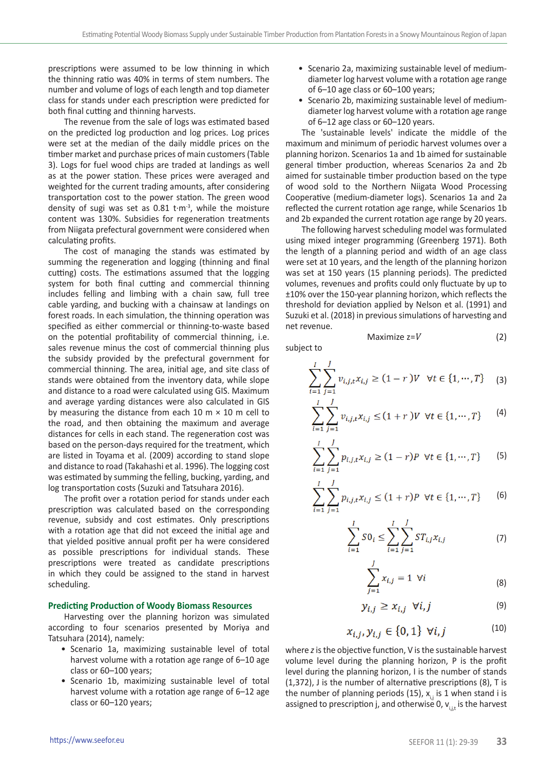prescriptions were assumed to be low thinning in which the thinning ratio was 40% in terms of stem numbers. The number and volume of logs of each length and top diameter class for stands under each prescription were predicted for both final cutting and thinning harvests.

The revenue from the sale of logs was estimated based on the predicted log production and log prices. Log prices were set at the median of the daily middle prices on the timber market and purchase prices of main customers (Table 3). Logs for fuel wood chips are traded at landings as well as at the power station. These prices were averaged and weighted for the current trading amounts, after considering transportation cost to the power station. The green wood density of sugi was set as  $0.81$  t $\cdot$ m<sup>-3</sup>, while the moisture content was 130%. Subsidies for regeneration treatments from Niigata prefectural government were considered when calculating profits.

The cost of managing the stands was estimated by summing the regeneration and logging (thinning and final cutting) costs. The estimations assumed that the logging system for both final cutting and commercial thinning includes felling and limbing with a chain saw, full tree cable yarding, and bucking with a chainsaw at landings on forest roads. In each simulation, the thinning operation was specified as either commercial or thinning-to-waste based on the potential profitability of commercial thinning, i.e. sales revenue minus the cost of commercial thinning plus the subsidy provided by the prefectural government for commercial thinning. The area, initial age, and site class of stands were obtained from the inventory data, while slope and distance to a road were calculated using GIS. Maximum and average yarding distances were also calculated in GIS by measuring the distance from each 10  $m \times 10$  m cell to the road, and then obtaining the maximum and average distances for cells in each stand. The regeneration cost was based on the person-days required for the treatment, which are listed in Toyama et al. (2009) according to stand slope and distance to road (Takahashi et al. 1996). The logging cost was estimated by summing the felling, bucking, yarding, and log transportation costs (Suzuki and Tatsuhara 2016).

The profit over a rotation period for stands under each prescription was calculated based on the corresponding revenue, subsidy and cost estimates. Only prescriptions with a rotation age that did not exceed the initial age and that yielded positive annual profit per ha were considered as possible prescriptions for individual stands. These prescriptions were treated as candidate prescriptions in which they could be assigned to the stand in harvest scheduling.

### **Predicting Production of Woody Biomass Resources**

Harvesting over the planning horizon was simulated according to four scenarios presented by Moriya and Tatsuhara (2014), namely:

- Scenario 1a, maximizing sustainable level of total harvest volume with a rotation age range of 6–10 age class or 60–100 years;
- Scenario 1b, maximizing sustainable level of total harvest volume with a rotation age range of 6–12 age class or 60–120 years;
- Scenario 2a, maximizing sustainable level of mediumdiameter log harvest volume with a rotation age range of 6–10 age class or 60–100 years;
- Scenario 2b, maximizing sustainable level of mediumdiameter log harvest volume with a rotation age range of 6–12 age class or 60–120 years.

The 'sustainable levels' indicate the middle of the maximum and minimum of periodic harvest volumes over a planning horizon. Scenarios 1a and 1b aimed for sustainable general timber production, whereas Scenarios 2a and 2b aimed for sustainable timber production based on the type of wood sold to the Northern Niigata Wood Processing Cooperative (medium-diameter logs). Scenarios 1a and 2a reflected the current rotation age range, while Scenarios 1b and 2b expanded the current rotation age range by 20 years.

The following harvest scheduling model was formulated using mixed integer programming (Greenberg 1971). Both the length of a planning period and width of an age class were set at 10 years, and the length of the planning horizon was set at 150 years (15 planning periods). The predicted volumes, revenues and profits could only fluctuate by up to ±10% over the 150-year planning horizon, which reflects the threshold for deviation applied by Nelson et al. (1991) and Suzuki et al. (2018) in previous simulations of harvesting and net revenue.

subject to

$$
\sum_{i=1}^{I} \sum_{j=1}^{J} v_{i,j,t} x_{i,j} \ge (1-r)V \quad \forall t \in \{1, \cdots, T\} \tag{3}
$$

 $Maximize z = V$  (2)

$$
\sum_{i=1}^{I} \sum_{j=1}^{J} v_{i,j,t} x_{i,j} \le (1+r) V \ \forall t \in \{1, \cdots, T\}
$$
 (4)

$$
\sum_{i=1}^{I} \sum_{j=1}^{J} p_{i,j,t} x_{i,j} \ge (1-r)P \quad \forall t \in \{1, \cdots, T\}
$$
 (5)

$$
\sum_{i=1}^{I} \sum_{j=1}^{J} p_{i,j,t} x_{i,j} \le (1+r)P \ \forall t \in \{1, \cdots, T\}
$$
 (6)

$$
\sum_{i=1}^{I} SO_i \le \sum_{i=1}^{I} \sum_{j=1}^{J} ST_{i,j} x_{i,j} \tag{7}
$$

$$
\sum_{j=1}^{j} x_{i,j} = 1 \quad \forall i \tag{8}
$$

$$
y_{i,j} \ge x_{i,j} \ \forall i,j \tag{9}
$$

$$
x_{i,j}, y_{i,j} \in \{0, 1\} \ \forall i, j \tag{10}
$$

where *z* is the objective function, V is the sustainable harvest volume level during the planning horizon, P is the profit level during the planning horizon, I is the number of stands (1,372), J is the number of alternative prescriptions (8), T is the number of planning periods (15),  $x_{i,j}$  is 1 when stand i is assigned to prescription j, and otherwise 0,  $v_{i,j}$  is the harvest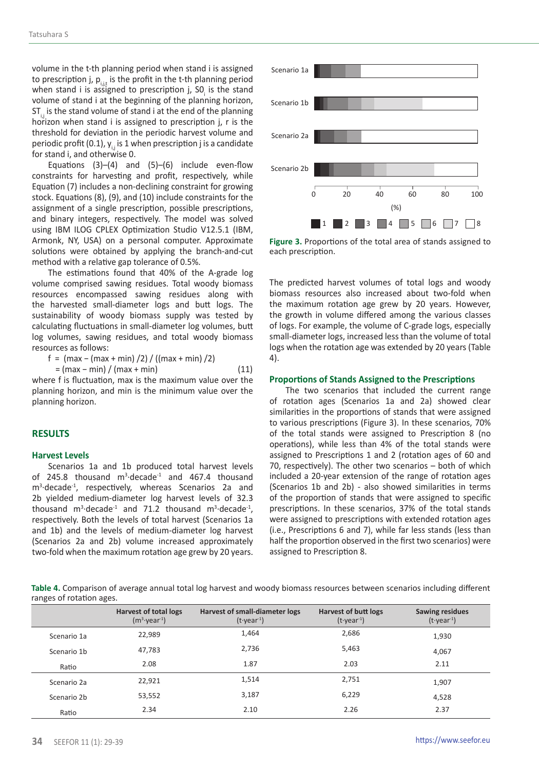volume in the t-th planning period when stand i is assigned to prescription j,  $p_{i,j}$  is the profit in the t-th planning period when stand i is assigned to prescription j,  $SO<sub>i</sub>$  is the stand volume of stand i at the beginning of the planning horizon, ST. is the stand volume of stand i at the end of the planning horizon when stand i is assigned to prescription j, r is the threshold for deviation in the periodic harvest volume and periodic profit (0.1),  $y_i$ , is 1 when prescription j is a candidate for stand i, and otherwise 0.

Equations  $(3)$ – $(4)$  and  $(5)$ – $(6)$  include even-flow constraints for harvesting and profit, respectively, while Equation (7) includes a non-declining constraint for growing stock. Equations (8), (9), and (10) include constraints for the assignment of a single prescription, possible prescriptions, and binary integers, respectively. The model was solved using IBM ILOG CPLEX Optimization Studio V12.5.1 (IBM, Armonk, NY, USA) on a personal computer. Approximate solutions were obtained by applying the branch-and-cut method with a relative gap tolerance of 0.5%.

The estimations found that 40% of the A-grade log volume comprised sawing residues. Total woody biomass resources encompassed sawing residues along with the harvested small-diameter logs and butt logs. The sustainability of woody biomass supply was tested by calculating fluctuations in small-diameter log volumes, butt log volumes, sawing residues, and total woody biomass resources as follows:

$$
f = (max - (max + min) / 2) / ((max + min) / 2)
$$
  
= (max - min) / (max + min) (11)

where f is fluctuation, max is the maximum value over the planning horizon, and min is the minimum value over the planning horizon.

## **RESULTS**

### **Harvest Levels**

Scenarios 1a and 1b produced total harvest levels of 245.8 thousand  $m^3$ -decade<sup>-1</sup> and 467.4 thousand m3 ·decade-1, respectively, whereas Scenarios 2a and 2b yielded medium-diameter log harvest levels of 32.3 thousand  $m^3$ -decade<sup>-1</sup> and 71.2 thousand  $m^3$ -decade<sup>-1</sup>, respectively. Both the levels of total harvest (Scenarios 1a and 1b) and the levels of medium-diameter log harvest (Scenarios 2a and 2b) volume increased approximately two-fold when the maximum rotation age grew by 20 years.



**Figure 3.** Proportions of the total area of stands assigned to each prescription.

The predicted harvest volumes of total logs and woody biomass resources also increased about two-fold when the maximum rotation age grew by 20 years. However, the growth in volume differed among the various classes of logs. For example, the volume of C-grade logs, especially small-diameter logs, increased less than the volume of total logs when the rotation age was extended by 20 years (Table 4).

#### **Proportions of Stands Assigned to the Prescriptions**

The two scenarios that included the current range of rotation ages (Scenarios 1a and 2a) showed clear similarities in the proportions of stands that were assigned to various prescriptions (Figure 3). In these scenarios, 70% of the total stands were assigned to Prescription 8 (no operations), while less than 4% of the total stands were assigned to Prescriptions 1 and 2 (rotation ages of 60 and 70, respectively). The other two scenarios – both of which included a 20-year extension of the range of rotation ages (Scenarios 1b and 2b) - also showed similarities in terms of the proportion of stands that were assigned to specific prescriptions. In these scenarios, 37% of the total stands were assigned to prescriptions with extended rotation ages (i.e., Prescriptions 6 and 7), while far less stands (less than half the proportion observed in the first two scenarios) were assigned to Prescription 8.

**Table 4.** Comparison of average annual total log harvest and woody biomass resources between scenarios including different ranges of rotation ages.

|             | Harvest of total logs<br>$(m^3 \cdot \text{year}^{-1})$ | Harvest of small-diameter logs<br>$(t\cdot \text{year}^{-1})$ | Harvest of butt logs<br>$(t\cdot \text{year}^{-1})$ | <b>Sawing residues</b><br>$(t\cdot \text{year}^1)$ |
|-------------|---------------------------------------------------------|---------------------------------------------------------------|-----------------------------------------------------|----------------------------------------------------|
| Scenario 1a | 22,989                                                  | 1,464                                                         | 2,686                                               | 1,930                                              |
| Scenario 1b | 47,783                                                  | 2,736                                                         | 5,463                                               | 4,067                                              |
| Ratio       | 2.08                                                    | 1.87                                                          | 2.03                                                | 2.11                                               |
| Scenario 2a | 22.921                                                  | 1,514                                                         | 2,751                                               | 1,907                                              |
| Scenario 2b | 53,552                                                  | 3,187                                                         | 6,229                                               | 4,528                                              |
| Ratio       | 2.34                                                    | 2.10                                                          | 2.26                                                | 2.37                                               |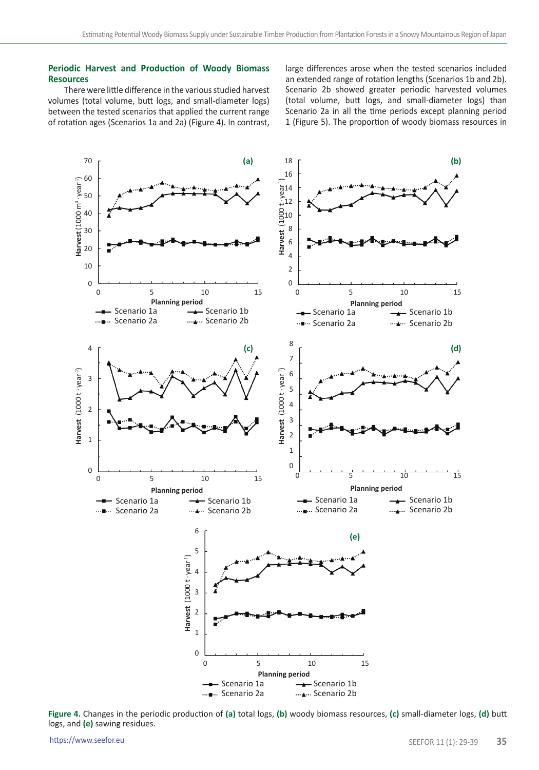## **Periodic Harvest and Production of Woody Biomass Resources**

There were little difference in the various studied harvest volumes (total volume, butt logs, and small-diameter logs) between the tested scenarios that applied the current range of rotation ages (Scenarios 1a and 2a) (Figure 4). In contrast, large differences arose when the tested scenarios included an extended range of rotation lengths (Scenarios 1b and 2b). Scenario 2b showed greater periodic harvested volumes (total volume, butt logs, and small-diameter logs) than Scenario 2a in all the time periods except planning period 1 (Figure 5). The proportion of woody biomass resources in



**Figure 4.** Changes in the periodic production of **(a)** total logs, **(b)** woody biomass resources, **(c)** small-diameter logs, **(d)** butt logs, and **(e)** sawing residues.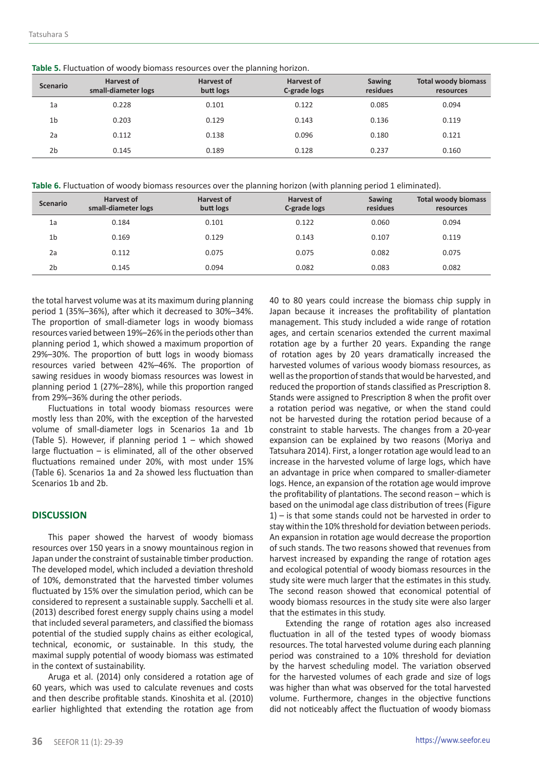| <b>Table 5.</b> Fluctuation of woody biomass resources over the planning horizon. |  |  |  |
|-----------------------------------------------------------------------------------|--|--|--|
|-----------------------------------------------------------------------------------|--|--|--|

| <b>Scenario</b> | <b>Harvest of</b><br>small-diameter logs | <b>Harvest of</b><br>butt logs | <b>Harvest of</b><br>C-grade logs | <b>Sawing</b><br>residues | <b>Total woody biomass</b><br>resources |
|-----------------|------------------------------------------|--------------------------------|-----------------------------------|---------------------------|-----------------------------------------|
| 1a              | 0.228                                    | 0.101                          | 0.122                             | 0.085                     | 0.094                                   |
| 1 <sub>b</sub>  | 0.203                                    | 0.129                          | 0.143                             | 0.136                     | 0.119                                   |
| 2a              | 0.112                                    | 0.138                          | 0.096                             | 0.180                     | 0.121                                   |
| 2 <sub>b</sub>  | 0.145                                    | 0.189                          | 0.128                             | 0.237                     | 0.160                                   |

**Table 6.** Fluctuation of woody biomass resources over the planning horizon (with planning period 1 eliminated).

| <b>Scenario</b> | <b>Harvest of</b><br>small-diameter logs | <b>Harvest of</b><br>butt logs | Harvest of<br>C-grade logs | <b>Sawing</b><br>residues | <b>Total woody biomass</b><br>resources |
|-----------------|------------------------------------------|--------------------------------|----------------------------|---------------------------|-----------------------------------------|
| 1a              | 0.184                                    | 0.101                          | 0.122                      | 0.060                     | 0.094                                   |
| 1 <sub>b</sub>  | 0.169                                    | 0.129                          | 0.143                      | 0.107                     | 0.119                                   |
| 2a              | 0.112                                    | 0.075                          | 0.075                      | 0.082                     | 0.075                                   |
| 2 <sub>b</sub>  | 0.145                                    | 0.094                          | 0.082                      | 0.083                     | 0.082                                   |

the total harvest volume was at its maximum during planning period 1 (35%–36%), after which it decreased to 30%–34%. The proportion of small-diameter logs in woody biomass resources varied between 19%–26% in the periods other than planning period 1, which showed a maximum proportion of 29%–30%. The proportion of butt logs in woody biomass resources varied between 42%–46%. The proportion of sawing residues in woody biomass resources was lowest in planning period 1 (27%–28%), while this proportion ranged from 29%–36% during the other periods.

Fluctuations in total woody biomass resources were mostly less than 20%, with the exception of the harvested volume of small-diameter logs in Scenarios 1a and 1b (Table 5). However, if planning period  $1 -$  which showed large fluctuation – is eliminated, all of the other observed fluctuations remained under 20%, with most under 15% (Table 6). Scenarios 1a and 2a showed less fluctuation than Scenarios 1b and 2b.

## **DISCUSSION**

This paper showed the harvest of woody biomass resources over 150 years in a snowy mountainous region in Japan under the constraint of sustainable timber production. The developed model, which included a deviation threshold of 10%, demonstrated that the harvested timber volumes fluctuated by 15% over the simulation period, which can be considered to represent a sustainable supply. Sacchelli et al. (2013) described forest energy supply chains using a model that included several parameters, and classified the biomass potential of the studied supply chains as either ecological, technical, economic, or sustainable. In this study, the maximal supply potential of woody biomass was estimated in the context of sustainability.

Aruga et al. (2014) only considered a rotation age of 60 years, which was used to calculate revenues and costs and then describe profitable stands. Kinoshita et al. (2010) earlier highlighted that extending the rotation age from

40 to 80 years could increase the biomass chip supply in Japan because it increases the profitability of plantation management. This study included a wide range of rotation ages, and certain scenarios extended the current maximal rotation age by a further 20 years. Expanding the range of rotation ages by 20 years dramatically increased the harvested volumes of various woody biomass resources, as well as the proportion of stands that would be harvested, and reduced the proportion of stands classified as Prescription 8. Stands were assigned to Prescription 8 when the profit over a rotation period was negative, or when the stand could not be harvested during the rotation period because of a constraint to stable harvests. The changes from a 20-year expansion can be explained by two reasons (Moriya and Tatsuhara 2014). First, a longer rotation age would lead to an increase in the harvested volume of large logs, which have an advantage in price when compared to smaller-diameter logs. Hence, an expansion of the rotation age would improve the profitability of plantations. The second reason – which is based on the unimodal age class distribution of trees (Figure 1) – is that some stands could not be harvested in order to stay within the 10% threshold for deviation between periods. An expansion in rotation age would decrease the proportion of such stands. The two reasons showed that revenues from harvest increased by expanding the range of rotation ages and ecological potential of woody biomass resources in the study site were much larger that the estimates in this study. The second reason showed that economical potential of woody biomass resources in the study site were also larger that the estimates in this study.

Extending the range of rotation ages also increased fluctuation in all of the tested types of woody biomass resources. The total harvested volume during each planning period was constrained to a 10% threshold for deviation by the harvest scheduling model. The variation observed for the harvested volumes of each grade and size of logs was higher than what was observed for the total harvested volume. Furthermore, changes in the objective functions did not noticeably affect the fluctuation of woody biomass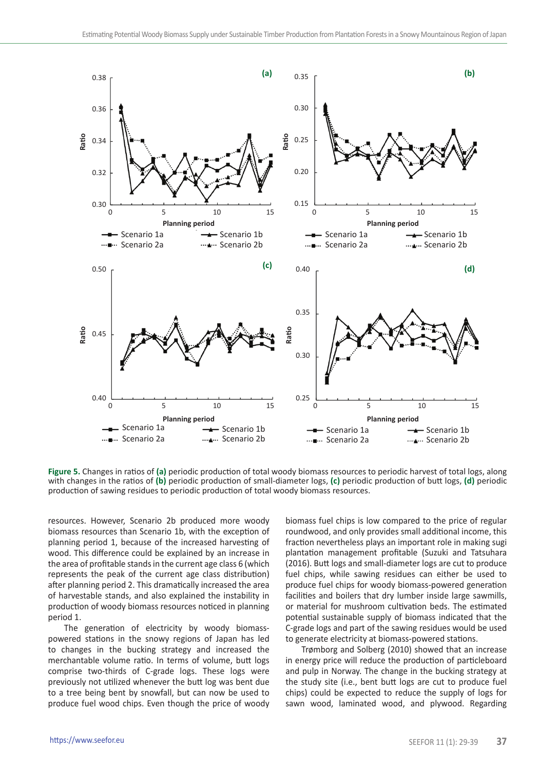

**Figure 5.** Changes in ratios of **(a)** periodic production of total woody biomass resources to periodic harvest of total logs, along with changes in the ratios of **(b)** periodic production of small-diameter logs, **(c)** periodic production of butt logs, **(d)** periodic production of sawing residues to periodic production of total woody biomass resources.

resources. However, Scenario 2b produced more woody biomass resources than Scenario 1b, with the exception of planning period 1, because of the increased harvesting of wood. This difference could be explained by an increase in the area of profitable stands in the current age class 6 (which represents the peak of the current age class distribution) after planning period 2. This dramatically increased the area of harvestable stands, and also explained the instability in production of woody biomass resources noticed in planning period 1.

The generation of electricity by woody biomasspowered stations in the snowy regions of Japan has led to changes in the bucking strategy and increased the merchantable volume ratio. In terms of volume, butt logs comprise two-thirds of C-grade logs. These logs were previously not utilized whenever the butt log was bent due to a tree being bent by snowfall, but can now be used to produce fuel wood chips. Even though the price of woody biomass fuel chips is low compared to the price of regular roundwood, and only provides small additional income, this fraction nevertheless plays an important role in making sugi plantation management profitable (Suzuki and Tatsuhara (2016). Butt logs and small-diameter logs are cut to produce fuel chips, while sawing residues can either be used to produce fuel chips for woody biomass-powered generation facilities and boilers that dry lumber inside large sawmills, or material for mushroom cultivation beds. The estimated potential sustainable supply of biomass indicated that the C-grade logs and part of the sawing residues would be used to generate electricity at biomass-powered stations.

Trømborg and Solberg (2010) showed that an increase in energy price will reduce the production of particleboard and pulp in Norway. The change in the bucking strategy at the study site (i.e., bent butt logs are cut to produce fuel chips) could be expected to reduce the supply of logs for sawn wood, laminated wood, and plywood. Regarding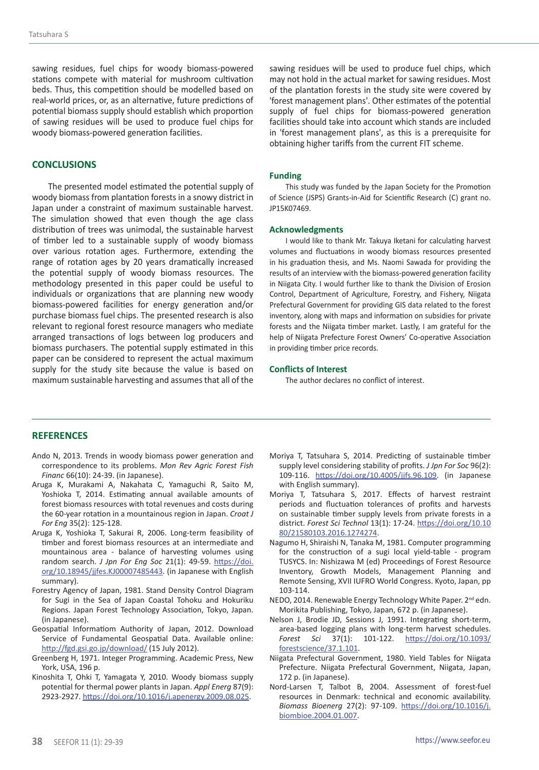sawing residues, fuel chips for woody biomass-powered stations compete with material for mushroom cultivation beds. Thus, this competition should be modelled based on real-world prices, or, as an alternative, future predictions of potential biomass supply should establish which proportion of sawing residues will be used to produce fuel chips for woody biomass-powered generation facilities.

## **CONCLUSIONS**

The presented model estimated the potential supply of woody biomass from plantation forests in a snowy district in Japan under a constraint of maximum sustainable harvest. The simulation showed that even though the age class distribution of trees was unimodal, the sustainable harvest of timber led to a sustainable supply of woody biomass over various rotation ages. Furthermore, extending the range of rotation ages by 20 years dramatically increased the potential supply of woody biomass resources. The methodology presented in this paper could be useful to individuals or organizations that are planning new woody biomass-powered facilities for energy generation and/or purchase biomass fuel chips. The presented research is also relevant to regional forest resource managers who mediate arranged transactions of logs between log producers and biomass purchasers. The potential supply estimated in this paper can be considered to represent the actual maximum supply for the study site because the value is based on maximum sustainable harvesting and assumes that all of the

sawing residues will be used to produce fuel chips, which may not hold in the actual market for sawing residues. Most of the plantation forests in the study site were covered by 'forest management plans'. Other estimates of the potential supply of fuel chips for biomass-powered generation facilities should take into account which stands are included in 'forest management plans', as this is a prerequisite for obtaining higher tariffs from the current FIT scheme.

#### **Funding**

This study was funded by the Japan Society for the Promotion of Science (JSPS) Grants-in-Aid for Scientific Research (C) grant no. JP15K07469.

#### **Acknowledgments**

I would like to thank Mr. Takuya Iketani for calculating harvest volumes and fluctuations in woody biomass resources presented in his graduation thesis, and Ms. Naomi Sawada for providing the results of an interview with the biomass-powered generation facility in Niigata City. I would further like to thank the Division of Erosion Control, Department of Agriculture, Forestry, and Fishery, Niigata Prefectural Government for providing GIS data related to the forest inventory, along with maps and information on subsidies for private forests and the Niigata timber market. Lastly, I am grateful for the help of Niigata Prefecture Forest Owners' Co-operative Association in providing timber price records.

#### **Conflicts of Interest**

The author declares no conflict of interest.

## **REFERENCES**

- Ando N, 2013. Trends in woody biomass power generation and correspondence to its problems. *Mon Rev Agric Forest Fish Financ* 66(10): 24-39. (in Japanese).
- Aruga K, Murakami A, Nakahata C, Yamaguchi R, Saito M, Yoshioka T, 2014. Estimating annual available amounts of forest biomass resources with total revenues and costs during the 60-year rotation in a mountainous region in Japan. *Croat J For Eng* 35(2): 125-128.
- Aruga K, Yoshioka T, Sakurai R, 2006. Long-term feasibility of timber and forest biomass resources at an intermediate and mountainous area - balance of harvesting volumes using random search. *J Jpn For Eng Soc* 21(1): 49-59. [https://doi.](https://doi.org/10.18945/jjfes.KJ00007485443) [org/10.18945/jjfes.KJ00007485443.](https://doi.org/10.18945/jjfes.KJ00007485443) (in Japanese with English summary).
- Forestry Agency of Japan, 1981. Stand Density Control Diagram for Sugi in the Sea of Japan Coastal Tohoku and Hokuriku Regions. Japan Forest Technology Association, Tokyo, Japan. (in Japanese).
- Geospatial Informatiom Authority of Japan, 2012. Download Service of Fundamental Geospatial Data. Available online: <http://fgd.gsi.go.jp/download/> (15 July 2012).
- Greenberg H, 1971. Integer Programming. Academic Press, New York, USA, 196 p.
- Kinoshita T, Ohki T, Yamagata Y, 2010. Woody biomass supply potential for thermal power plants in Japan. *Appl Energ* 87(9): 2923-2927.<https://doi.org/10.1016/j.apenergy.2009.08.025>.
- Moriya T, Tatsuhara S, 2014. Predicting of sustainable timber supply level considering stability of profits. *J Jpn For Soc* 96(2): 109-116. [https://doi.org/10.4005/jjfs.96.109.](https://doi.org/10.4005/jjfs.96.109) (in Japanese with English summary).
- Moriya T, Tatsuhara S, 2017. Effects of harvest restraint periods and fluctuation tolerances of profits and harvests on sustainable timber supply levels from private forests in a district. *Forest Sci Technol* 13(1): 17-24. [https://doi.org/10.10](https://doi.org/10.1080/21580103.2016.1274274) [80/21580103.2016.1274274](https://doi.org/10.1080/21580103.2016.1274274).
- Nagumo H, Shiraishi N, Tanaka M, 1981. Computer programming for the construction of a sugi local yield-table - program TUSYCS. In: Nishizawa M (ed) Proceedings of Forest Resource Inventory, Growth Models, Management Planning and Remote Sensing, XVII IUFRO World Congress. Kyoto, Japan, pp 103-114.
- NEDO, 2014. Renewable Energy Technology White Paper. 2<sup>nd</sup> edn. Morikita Publishing, Tokyo, Japan, 672 p. (in Japanese).
- Nelson J, Brodie JD, Sessions J, 1991. Integrating short-term, area-based logging plans with long-term harvest schedules. *Forest Sci* 37(1): 101-122. [https://doi.org/10.1093/](https://doi.org/10.1093/forestscience/37.1.101) [forestscience/37.1.101](https://doi.org/10.1093/forestscience/37.1.101).
- Niigata Prefectural Government, 1980. Yield Tables for Niigata Prefecture. Niigata Prefectural Government, Niigata, Japan, 172 p. (in Japanese).
- Nord-Larsen T, Talbot B, 2004. Assessment of forest-fuel resources in Denmark: technical and economic availability. *Biomass Bioenerg* 27(2): 97-109. [https://doi.org/10.1016/j.](https://doi.org/10.1016/j.biombioe.2004.01.007) [biombioe.2004.01.007](https://doi.org/10.1016/j.biombioe.2004.01.007).